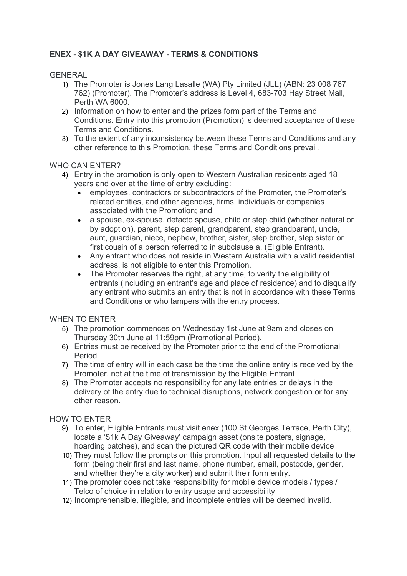# **ENEX - \$1K A DAY GIVEAWAY - TERMS & CONDITIONS**

### GENERAL

- 1) The Promoter is Jones Lang Lasalle (WA) Pty Limited (JLL) (ABN: 23 008 767 762) (Promoter). The Promoter's address is Level 4, 683-703 Hay Street Mall, Perth WA 6000.
- 2) Information on how to enter and the prizes form part of the Terms and Conditions. Entry into this promotion (Promotion) is deemed acceptance of these Terms and Conditions.
- 3) To the extent of any inconsistency between these Terms and Conditions and any other reference to this Promotion, these Terms and Conditions prevail.

#### WHO CAN ENTER?

- 4) Entry in the promotion is only open to Western Australian residents aged 18 years and over at the time of entry excluding:
	- employees, contractors or subcontractors of the Promoter, the Promoter's related entities, and other agencies, firms, individuals or companies associated with the Promotion; and
	- a spouse, ex-spouse, defacto spouse, child or step child (whether natural or by adoption), parent, step parent, grandparent, step grandparent, uncle, aunt, guardian, niece, nephew, brother, sister, step brother, step sister or first cousin of a person referred to in subclause a. (Eligible Entrant).
	- Any entrant who does not reside in Western Australia with a valid residential address, is not eligible to enter this Promotion.
	- The Promoter reserves the right, at any time, to verify the eligibility of entrants (including an entrant's age and place of residence) and to disqualify any entrant who submits an entry that is not in accordance with these Terms and Conditions or who tampers with the entry process.

# WHEN TO ENTER

- 5) The promotion commences on Wednesday 1st June at 9am and closes on Thursday 30th June at 11:59pm (Promotional Period).
- 6) Entries must be received by the Promoter prior to the end of the Promotional Period
- 7) The time of entry will in each case be the time the online entry is received by the Promoter, not at the time of transmission by the Eligible Entrant
- 8) The Promoter accepts no responsibility for any late entries or delays in the delivery of the entry due to technical disruptions, network congestion or for any other reason.

# HOW TO ENTER

- 9) To enter, Eligible Entrants must visit enex (100 St Georges Terrace, Perth City), locate a '\$1k A Day Giveaway' campaign asset (onsite posters, signage, hoarding patches), and scan the pictured QR code with their mobile device
- 10) They must follow the prompts on this promotion. Input all requested details to the form (being their first and last name, phone number, email, postcode, gender, and whether they're a city worker) and submit their form entry.
- 11) The promoter does not take responsibility for mobile device models / types / Telco of choice in relation to entry usage and accessibility
- 12) Incomprehensible, illegible, and incomplete entries will be deemed invalid.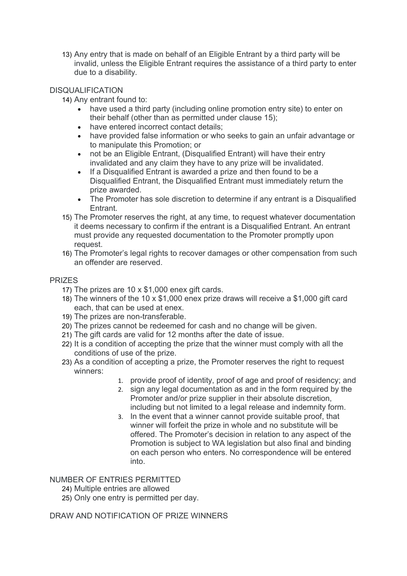13) Any entry that is made on behalf of an Eligible Entrant by a third party will be invalid, unless the Eligible Entrant requires the assistance of a third party to enter due to a disability.

# DISQUALIFICATION

14) Any entrant found to:

- have used a third party (including online promotion entry site) to enter on their behalf (other than as permitted under clause 15);
- have entered incorrect contact details:
- have provided false information or who seeks to gain an unfair advantage or to manipulate this Promotion; or
- not be an Eligible Entrant, (Disqualified Entrant) will have their entry invalidated and any claim they have to any prize will be invalidated.
- If a Disqualified Entrant is awarded a prize and then found to be a Disqualified Entrant, the Disqualified Entrant must immediately return the prize awarded.
- The Promoter has sole discretion to determine if any entrant is a Disqualified **Entrant**
- 15) The Promoter reserves the right, at any time, to request whatever documentation it deems necessary to confirm if the entrant is a Disqualified Entrant. An entrant must provide any requested documentation to the Promoter promptly upon request.
- 16) The Promoter's legal rights to recover damages or other compensation from such an offender are reserved.

# PRIZES

- 17) The prizes are 10 x \$1,000 enex gift cards.
- 18) The winners of the 10 x \$1,000 enex prize draws will receive a \$1,000 gift card each, that can be used at enex.
- 19) The prizes are non-transferable.
- 20) The prizes cannot be redeemed for cash and no change will be given.
- 21) The gift cards are valid for 12 months after the date of issue.
- 22) It is a condition of accepting the prize that the winner must comply with all the conditions of use of the prize.
- 23) As a condition of accepting a prize, the Promoter reserves the right to request winners:
	- 1. provide proof of identity, proof of age and proof of residency; and
	- 2. sign any legal documentation as and in the form required by the Promoter and/or prize supplier in their absolute discretion, including but not limited to a legal release and indemnity form.
	- 3. In the event that a winner cannot provide suitable proof, that winner will forfeit the prize in whole and no substitute will be offered. The Promoter's decision in relation to any aspect of the Promotion is subject to WA legislation but also final and binding on each person who enters. No correspondence will be entered into.

#### NUMBER OF ENTRIES PERMITTED

- 24) Multiple entries are allowed
- 25) Only one entry is permitted per day.

DRAW AND NOTIFICATION OF PRIZE WINNERS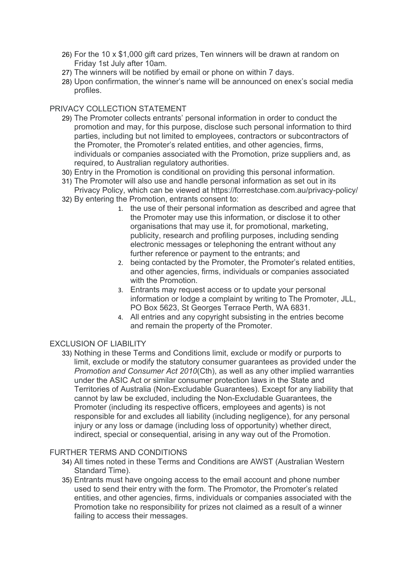- 26) For the 10 x \$1,000 gift card prizes, Ten winners will be drawn at random on Friday 1st July after 10am.
- 27) The winners will be notified by email or phone on within 7 days.
- 28) Upon confirmation, the winner's name will be announced on enex's social media profiles.

### PRIVACY COLLECTION STATEMENT

- 29) The Promoter collects entrants' personal information in order to conduct the promotion and may, for this purpose, disclose such personal information to third parties, including but not limited to employees, contractors or subcontractors of the Promoter, the Promoter's related entities, and other agencies, firms, individuals or companies associated with the Promotion, prize suppliers and, as required, to Australian regulatory authorities.
- 30) Entry in the Promotion is conditional on providing this personal information.
- 31) The Promoter will also use and handle personal information as set out in its Privacy Policy, which can be viewed at https://forrestchase.com.au/privacy-policy/
- 32) By entering the Promotion, entrants consent to:
	- 1. the use of their personal information as described and agree that the Promoter may use this information, or disclose it to other organisations that may use it, for promotional, marketing, publicity, research and profiling purposes, including sending electronic messages or telephoning the entrant without any further reference or payment to the entrants; and
	- 2. being contacted by the Promoter, the Promoter's related entities, and other agencies, firms, individuals or companies associated with the Promotion.
	- 3. Entrants may request access or to update your personal information or lodge a complaint by writing to The Promoter, JLL, PO Box 5623, St Georges Terrace Perth, WA 6831.
	- 4. All entries and any copyright subsisting in the entries become and remain the property of the Promoter.

#### **EXCLUSION OF LIABILITY**

33) Nothing in these Terms and Conditions limit, exclude or modify or purports to limit, exclude or modify the statutory consumer guarantees as provided under the *Promotion and Consumer Act 2010*(Cth), as well as any other implied warranties under the ASIC Act or similar consumer protection laws in the State and Territories of Australia (Non-Excludable Guarantees). Except for any liability that cannot by law be excluded, including the Non-Excludable Guarantees, the Promoter (including its respective officers, employees and agents) is not responsible for and excludes all liability (including negligence), for any personal injury or any loss or damage (including loss of opportunity) whether direct, indirect, special or consequential, arising in any way out of the Promotion.

#### FURTHER TERMS AND CONDITIONS

- 34) All times noted in these Terms and Conditions are AWST (Australian Western Standard Time).
- 35) Entrants must have ongoing access to the email account and phone number used to send their entry with the form. The Promotor, the Promoter's related entities, and other agencies, firms, individuals or companies associated with the Promotion take no responsibility for prizes not claimed as a result of a winner failing to access their messages.